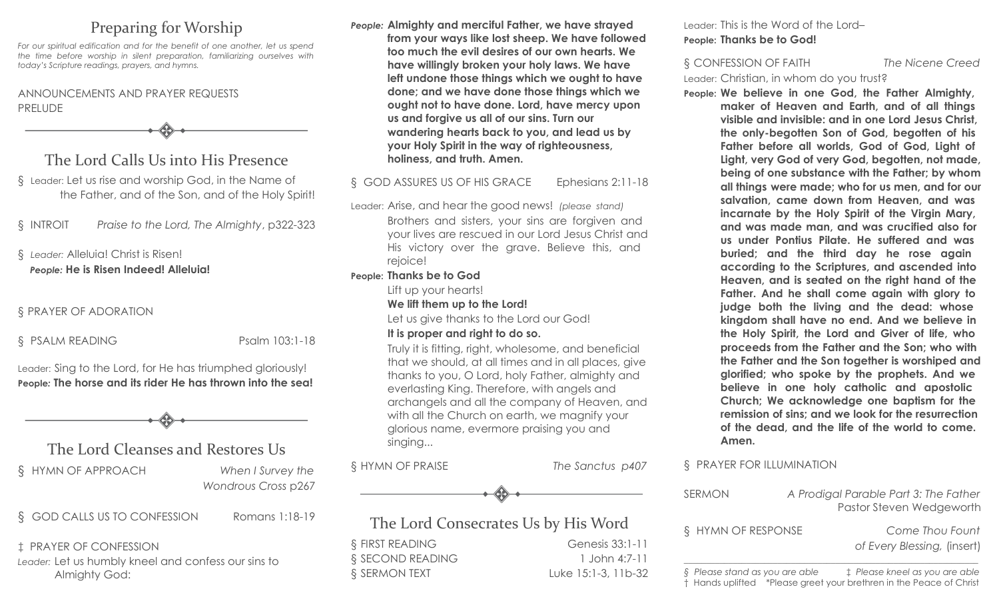# Preparing for Worship

*For our spiritual edification and for the benefit of one another, let us spend the time before worship in silent preparation, familiarizing ourselves with today's Scripture readings, prayers, and hymns.*

### ANNOUNCEMENTS AND PRAYER REQUESTS PRELUDE

The Lord Calls Us into His Presence

§ Leader: Let us rise and worship God, in the Name of the Father, and of the Son, and of the Holy Spirit!

§ INTROIT *Praise to the Lord, The Almighty*, p322-323

### § *Leader:* Alleluia! Christ is Risen! *People:* **He is Risen Indeed! Alleluia!**

### § PRAYER OF ADORATION

§ PSALM READING Psalm 103:1-18

Leader: Sing to the Lord, for He has triumphed gloriously! **People***:* **The horse and its rider He has thrown into the sea!**

# The Lord Cleanses and Restores Us

§ HYMN OF APPROACH *When I Survey the*

*Wondrous Cross* p267

§ GOD CALLS US TO CONFESSION Romans 1:18-19

‡ PRAYER OF CONFESSION *Leader:* Let us humbly kneel and confess our sins to Almighty God:

*People:* **Almighty and merciful Father, we have strayed from your ways like lost sheep. We have followed too much the evil desires of our own hearts. We have willingly broken your holy laws. We have left undone those things which we ought to have done; and we have done those things which we ought not to have done. Lord, have mercy upon us and forgive us all of our sins. Turn our wandering hearts back to you, and lead us by your Holy Spirit in the way of righteousness, holiness, and truth. Amen.**

### § GOD ASSURES US OF HIS GRACE Ephesians 2:11-18

Leader: Arise, and hear the good news! *(please stand)*  Brothers and sisters, your sins are forgiven and your lives are rescued in our Lord Jesus Christ and His victory over the grave. Believe this, and rejoice!

### **People: Thanks be to God**

Lift up your hearts!

#### **We lift them up to the Lord!**

Let us give thanks to the Lord our God!

#### **It is proper and right to do so.**

Truly it is fitting, right, wholesome, and beneficial that we should, at all times and in all places, give thanks to you, O Lord, holy Father, almighty and everlasting King. Therefore, with angels and archangels and all the company of Heaven, and with all the Church on earth, we magnify your glorious name, evermore praising you and singing...

§ HYMN OF PRAISE *The Sanctus p407*



## The Lord Consecrates Us by His Word

§ FIRST READING Genesis 33:1-11 § SECOND READING 1 John 4:7-11 § SERMON TEXT Luke 15:1-3, 11b-32 Leader: This is the Word of the Lord– **People: Thanks be to God!**

§ CONFESSION OF FAITH *The Nicene Creed* Leader: Christian, in whom do you trust?

**People: We believe in one God, the Father Almighty, maker of Heaven and Earth, and of all things visible and invisible: and in one Lord Jesus Christ, the only-begotten Son of God, begotten of his Father before all worlds, God of God, Light of Light, very God of very God, begotten, not made, being of one substance with the Father; by whom all things were made; who for us men, and for our salvation, came down from Heaven, and was incarnate by the Holy Spirit of the Virgin Mary, and was made man, and was crucified also for us under Pontius Pilate. He suffered and was buried; and the third day he rose again according to the Scriptures, and ascended into Heaven, and is seated on the right hand of the Father. And he shall come again with glory to judge both the living and the dead: whose kingdom shall have no end. And we believe in the Holy Spirit, the Lord and Giver of life, who proceeds from the Father and the Son; who with the Father and the Son together is worshiped and glorified; who spoke by the prophets. And we believe in one holy catholic and apostolic Church; We acknowledge one baptism for the remission of sins; and we look for the resurrection of the dead, and the life of the world to come. Amen.**

### § PRAYER FOR ILLUMINATION

| <b>SERMON</b>                  |  | A Prodigal Parable Part 3: The Father<br>Pastor Steven Wedgeworth |
|--------------------------------|--|-------------------------------------------------------------------|
| § HYMN OF RESPONSE             |  | Come Thou Fount<br>of Every Blessing, (insert)                    |
| § Please stand as you are able |  | ‡ Please kneel as you are able                                    |

† Hands uplifted \*Please greet your brethren in the Peace of Christ